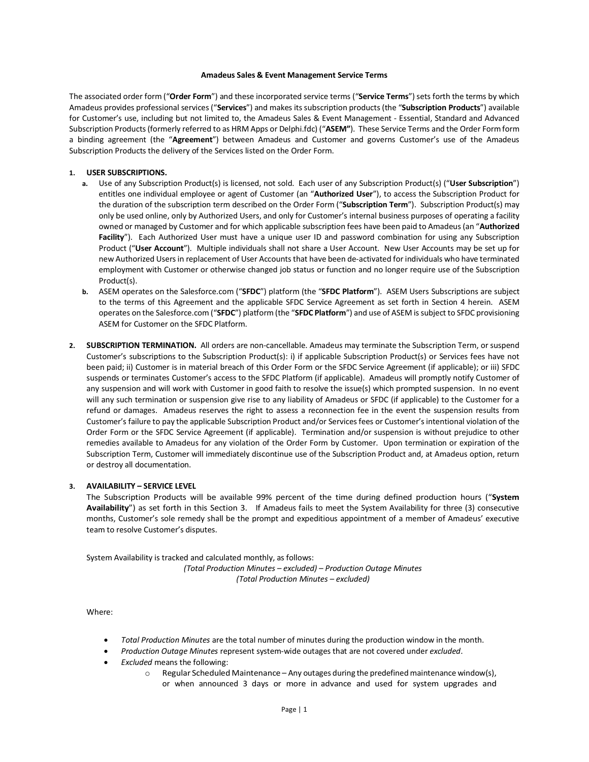#### **Amadeus Sales & Event Management Service Terms**

The associated order form ("**Order Form**") and these incorporated service terms ("**Service Terms**") sets forth the terms by which Amadeus provides professional services ("**Services**") and makes itssubscription products (the "**Subscription Products**") available for Customer's use, including but not limited to, the Amadeus Sales & Event Management - Essential, Standard and Advanced Subscription Products (formerly referred to as HRM Apps or Delphi.fdc) ("**ASEM"**). These Service Terms and the Order Formform a binding agreement (the "**Agreement**") between Amadeus and Customer and governs Customer's use of the Amadeus Subscription Products the delivery of the Services listed on the Order Form.

#### **1. USER SUBSCRIPTIONS.**

- **a.** Use of any Subscription Product(s) is licensed, not sold. Each user of any Subscription Product(s) ("**User Subscription**") entitles one individual employee or agent of Customer (an "**Authorized User**"), to access the Subscription Product for the duration of the subscription term described on the Order Form ("**Subscription Term**"). Subscription Product(s) may only be used online, only by Authorized Users, and only for Customer's internal business purposes of operating a facility owned or managed by Customer and for which applicable subscription fees have been paid to Amadeus (an "**Authorized Facility**"). Each Authorized User must have a unique user ID and password combination for using any Subscription Product ("**User Account**"). Multiple individuals shall not share a User Account. New User Accounts may be set up for new Authorized Users in replacement of User Accounts that have been de-activated for individuals who have terminated employment with Customer or otherwise changed job status or function and no longer require use of the Subscription Product(s).
- **b.** ASEM operates on the Salesforce.com ("**SFDC**") platform (the "**SFDC Platform**"). ASEM Users Subscriptions are subject to the terms of this Agreement and the applicable SFDC Service Agreement as set forth in Section 4 herein. ASEM operates on the Salesforce.com ("**SFDC**") platform(the "**SFDC Platform**") and use of ASEM is subject to SFDC provisioning ASEM for Customer on the SFDC Platform.
- **2. SUBSCRIPTION TERMINATION.** All orders are non-cancellable. Amadeus may terminate the Subscription Term, or suspend Customer's subscriptions to the Subscription Product(s): i) if applicable Subscription Product(s) or Services fees have not been paid; ii) Customer is in material breach of this Order Form or the SFDC Service Agreement (if applicable); or iii) SFDC suspends or terminates Customer's access to the SFDC Platform (if applicable). Amadeus will promptly notify Customer of any suspension and will work with Customer in good faith to resolve the issue(s) which prompted suspension. In no event will any such termination or suspension give rise to any liability of Amadeus or SFDC (if applicable) to the Customer for a refund or damages. Amadeus reserves the right to assess a reconnection fee in the event the suspension results from Customer's failure to pay the applicable Subscription Product and/or Servicesfees or Customer's intentional violation of the Order Form or the SFDC Service Agreement (if applicable). Termination and/or suspension is without prejudice to other remedies available to Amadeus for any violation of the Order Form by Customer. Upon termination or expiration of the Subscription Term, Customer will immediately discontinue use of the Subscription Product and, at Amadeus option, return or destroy all documentation.

#### **3. AVAILABILITY – SERVICE LEVEL**

The Subscription Products will be available 99% percent of the time during defined production hours ("**System Availability**") as set forth in this Section 3. If Amadeus fails to meet the System Availability for three (3) consecutive months, Customer's sole remedy shall be the prompt and expeditious appointment of a member of Amadeus' executive team to resolve Customer's disputes.

System Availability is tracked and calculated monthly, as follows: *(Total Production Minutes – excluded) – Production Outage Minutes (Total Production Minutes – excluded)*

#### Where:

- *Total Production Minutes* are the total number of minutes during the production window in the month.
- *Production Outage Minutes* represent system-wide outages that are not covered under *excluded*.
- *Excluded* means the following:
	- $\circ$  Regular Scheduled Maintenance Any outages during the predefined maintenance window(s), or when announced 3 days or more in advance and used for system upgrades and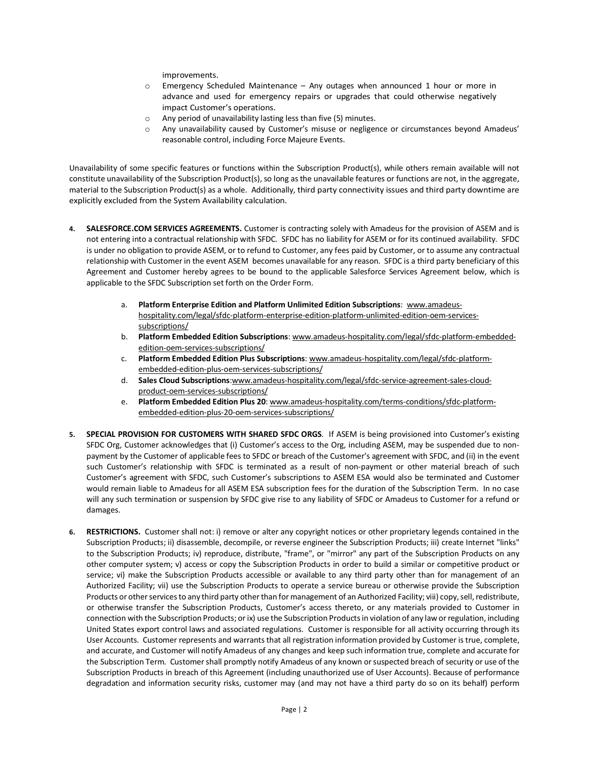improvements.

- $\circ$  Emergency Scheduled Maintenance Any outages when announced 1 hour or more in advance and used for emergency repairs or upgrades that could otherwise negatively impact Customer's operations.
- o Any period of unavailability lasting less than five (5) minutes.
- o Any unavailability caused by Customer's misuse or negligence or circumstances beyond Amadeus' reasonable control, including Force Majeure Events.

Unavailability of some specific features or functions within the Subscription Product(s), while others remain available will not constitute unavailability of the Subscription Product(s), so long as the unavailable features or functions are not, in the aggregate, material to the Subscription Product(s) as a whole. Additionally, third party connectivity issues and third party downtime are explicitly excluded from the System Availability calculation.

- **4. SALESFORCE.COM SERVICES AGREEMENTS.** Customer is contracting solely with Amadeus for the provision of ASEM and is not entering into a contractual relationship with SFDC. SFDC has no liability for ASEM or for its continued availability. SFDC is under no obligation to provide ASEM, or to refund to Customer, any fees paid by Customer, or to assume any contractual relationship with Customer in the event ASEM becomes unavailable for any reason. SFDC is a third party beneficiary of this Agreement and Customer hereby agrees to be bound to the applicable Salesforce Services Agreement below, which is applicable to the SFDC Subscription set forth on the Order Form.
	- a. **Platform Enterprise Edition and Platform Unlimited Edition Subscriptions**: [www.amadeus](http://www.amadeus-hospitality.com/legal/sfdc-platform-enterprise-edition-platform-unlimited-edition-oem-services-subscriptions/)[hospitality.com/legal/sfdc-platform-enterprise-edition-platform-unlimited-edition-oem-services](http://www.amadeus-hospitality.com/legal/sfdc-platform-enterprise-edition-platform-unlimited-edition-oem-services-subscriptions/)[subscriptions/](http://www.amadeus-hospitality.com/legal/sfdc-platform-enterprise-edition-platform-unlimited-edition-oem-services-subscriptions/)
	- b. **Platform Embedded Edition Subscriptions**: [www.amadeus-hospitality.com/legal/sfdc-platform-embedded](http://www.amadeus-hospitality.com/legal/sfdc-platform-embedded-edition-oem-services-subscriptions/)[edition-oem-services-subscriptions/](http://www.amadeus-hospitality.com/legal/sfdc-platform-embedded-edition-oem-services-subscriptions/)
	- c. **Platform Embedded Edition Plus Subscriptions**[: www.amadeus-hospitality.com/legal/sfdc-platform](http://www.amadeus-hospitality.com/legal/sfdc-platform-embedded-edition-plus-oem-services-subscriptions/)[embedded-edition-plus-oem-services-subscriptions/](http://www.amadeus-hospitality.com/legal/sfdc-platform-embedded-edition-plus-oem-services-subscriptions/)
	- d. **Sales Cloud Subscriptions**[:www.amadeus-hospitality.com/legal/sfdc-service-agreement-sales-cloud](http://www.amadeus-hospitality.com/legal/sfdc-service-agreement-sales-cloud-product-oem-services-subscriptions/)[product-oem-services-subscriptions/](http://www.amadeus-hospitality.com/legal/sfdc-service-agreement-sales-cloud-product-oem-services-subscriptions/)
	- e. **Platform Embedded Edition Plus 20**[: www.amadeus-hospitality.com/terms-conditions/sfdc-platform](http://www.amadeus-hospitality.com/terms-conditions/sfdc-platform-embedded-edition-plus-20-oem-services-subscriptions/)[embedded-edition-plus-20-oem-services-subscriptions/](http://www.amadeus-hospitality.com/terms-conditions/sfdc-platform-embedded-edition-plus-20-oem-services-subscriptions/)
- **5. SPECIAL PROVISION FOR CUSTOMERS WITH SHARED SFDC ORGS**. If ASEM is being provisioned into Customer's existing SFDC Org, Customer acknowledges that (i) Customer's access to the Org, including ASEM, may be suspended due to nonpayment by the Customer of applicable fees to SFDC or breach of the Customer's agreement with SFDC, and (ii) in the event such Customer's relationship with SFDC is terminated as a result of non-payment or other material breach of such Customer's agreement with SFDC, such Customer's subscriptions to ASEM ESA would also be terminated and Customer would remain liable to Amadeus for all ASEM ESA subscription fees for the duration of the Subscription Term. In no case will any such termination or suspension by SFDC give rise to any liability of SFDC or Amadeus to Customer for a refund or damages.
- **6. RESTRICTIONS.** Customer shall not: i) remove or alter any copyright notices or other proprietary legends contained in the Subscription Products; ii) disassemble, decompile, or reverse engineer the Subscription Products; iii) create Internet "links" to the Subscription Products; iv) reproduce, distribute, "frame", or "mirror" any part of the Subscription Products on any other computer system; v) access or copy the Subscription Products in order to build a similar or competitive product or service; vi) make the Subscription Products accessible or available to any third party other than for management of an Authorized Facility; vii) use the Subscription Products to operate a service bureau or otherwise provide the Subscription Products or other services to any third party other than for management of an Authorized Facility; viii) copy, sell, redistribute, or otherwise transfer the Subscription Products, Customer's access thereto, or any materials provided to Customer in connection with the Subscription Products; or ix) use the Subscription Products in violation of any law or regulation, including United States export control laws and associated regulations. Customer is responsible for all activity occurring through its User Accounts. Customer represents and warrants that all registration information provided by Customer is true, complete, and accurate, and Customer will notify Amadeus of any changes and keep such information true, complete and accurate for the Subscription Term. Customer shall promptly notify Amadeus of any known or suspected breach of security or use of the Subscription Products in breach of this Agreement (including unauthorized use of User Accounts). Because of performance degradation and information security risks, customer may (and may not have a third party do so on its behalf) perform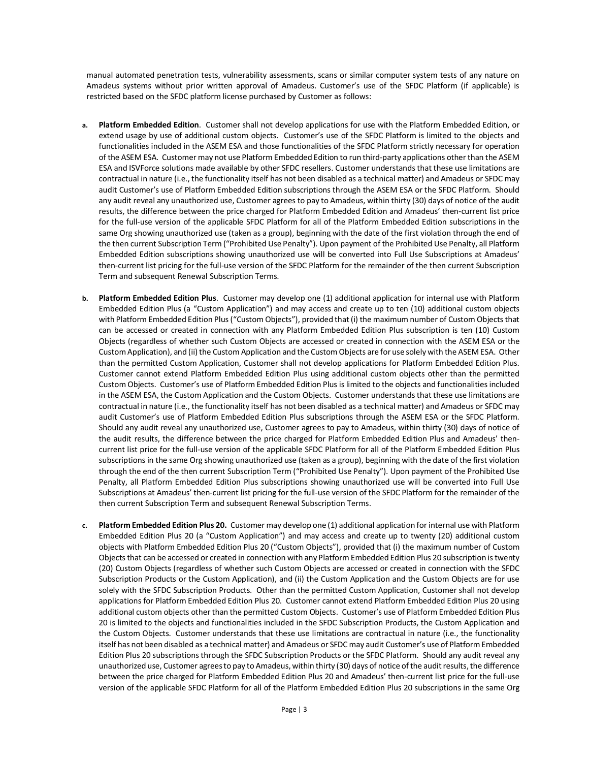manual automated penetration tests, vulnerability assessments, scans or similar computer system tests of any nature on Amadeus systems without prior written approval of Amadeus. Customer's use of the SFDC Platform (if applicable) is restricted based on the SFDC platform license purchased by Customer as follows:

- **a. Platform Embedded Edition**. Customer shall not develop applications for use with the Platform Embedded Edition, or extend usage by use of additional custom objects. Customer's use of the SFDC Platform is limited to the objects and functionalities included in the ASEM ESA and those functionalities of the SFDC Platform strictly necessary for operation of the ASEM ESA. Customer may not use Platform Embedded Edition to run third-party applications other than the ASEM ESA and ISVForce solutions made available by other SFDC resellers. Customer understands that these use limitations are contractual in nature (i.e., the functionality itself has not been disabled as a technical matter) and Amadeus or SFDC may audit Customer's use of Platform Embedded Edition subscriptions through the ASEM ESA or the SFDC Platform. Should any audit reveal any unauthorized use, Customer agrees to pay to Amadeus, within thirty (30) days of notice of the audit results, the difference between the price charged for Platform Embedded Edition and Amadeus' then-current list price for the full-use version of the applicable SFDC Platform for all of the Platform Embedded Edition subscriptions in the same Org showing unauthorized use (taken as a group), beginning with the date of the first violation through the end of the then current Subscription Term ("Prohibited Use Penalty"). Upon payment of the Prohibited Use Penalty, all Platform Embedded Edition subscriptions showing unauthorized use will be converted into Full Use Subscriptions at Amadeus' then-current list pricing for the full-use version of the SFDC Platform for the remainder of the then current Subscription Term and subsequent Renewal Subscription Terms.
- **b. Platform Embedded Edition Plus**. Customer may develop one (1) additional application for internal use with Platform Embedded Edition Plus (a "Custom Application") and may access and create up to ten (10) additional custom objects with Platform Embedded Edition Plus ("Custom Objects"), provided that (i) the maximum number of Custom Objects that can be accessed or created in connection with any Platform Embedded Edition Plus subscription is ten (10) Custom Objects (regardless of whether such Custom Objects are accessed or created in connection with the ASEM ESA or the Custom Application), and (ii) the Custom Application and the Custom Objects are for use solely with the ASEM ESA. Other than the permitted Custom Application, Customer shall not develop applications for Platform Embedded Edition Plus. Customer cannot extend Platform Embedded Edition Plus using additional custom objects other than the permitted Custom Objects. Customer's use of Platform Embedded Edition Plus is limited to the objects and functionalities included in the ASEM ESA, the Custom Application and the Custom Objects. Customer understands that these use limitations are contractual in nature (i.e., the functionality itself has not been disabled as a technical matter) and Amadeus or SFDC may audit Customer's use of Platform Embedded Edition Plus subscriptions through the ASEM ESA or the SFDC Platform. Should any audit reveal any unauthorized use, Customer agrees to pay to Amadeus, within thirty (30) days of notice of the audit results, the difference between the price charged for Platform Embedded Edition Plus and Amadeus' thencurrent list price for the full-use version of the applicable SFDC Platform for all of the Platform Embedded Edition Plus subscriptions in the same Org showing unauthorized use (taken as a group), beginning with the date of the first violation through the end of the then current Subscription Term ("Prohibited Use Penalty"). Upon payment of the Prohibited Use Penalty, all Platform Embedded Edition Plus subscriptions showing unauthorized use will be converted into Full Use Subscriptions at Amadeus' then-current list pricing for the full-use version of the SFDC Platform for the remainder of the then current Subscription Term and subsequent Renewal Subscription Terms.
- **c. Platform Embedded Edition Plus 20.** Customer may develop one (1) additional application for internal use with Platform Embedded Edition Plus 20 (a "Custom Application") and may access and create up to twenty (20) additional custom objects with Platform Embedded Edition Plus 20 ("Custom Objects"), provided that (i) the maximum number of Custom Objects that can be accessed or created in connection with any Platform Embedded Edition Plus 20 subscription is twenty (20) Custom Objects (regardless of whether such Custom Objects are accessed or created in connection with the SFDC Subscription Products or the Custom Application), and (ii) the Custom Application and the Custom Objects are for use solely with the SFDC Subscription Products. Other than the permitted Custom Application, Customer shall not develop applications for Platform Embedded Edition Plus 20. Customer cannot extend Platform Embedded Edition Plus 20 using additional custom objects other than the permitted Custom Objects. Customer's use of Platform Embedded Edition Plus 20 is limited to the objects and functionalities included in the SFDC Subscription Products, the Custom Application and the Custom Objects. Customer understands that these use limitations are contractual in nature (i.e., the functionality itself has not been disabled as a technical matter) and Amadeus or SFDC may audit Customer's use of Platform Embedded Edition Plus 20 subscriptions through the SFDC Subscription Products or the SFDC Platform. Should any audit reveal any unauthorized use, Customer agrees to pay to Amadeus, within thirty (30) days of notice of the audit results, the difference between the price charged for Platform Embedded Edition Plus 20 and Amadeus' then-current list price for the full-use version of the applicable SFDC Platform for all of the Platform Embedded Edition Plus 20 subscriptions in the same Org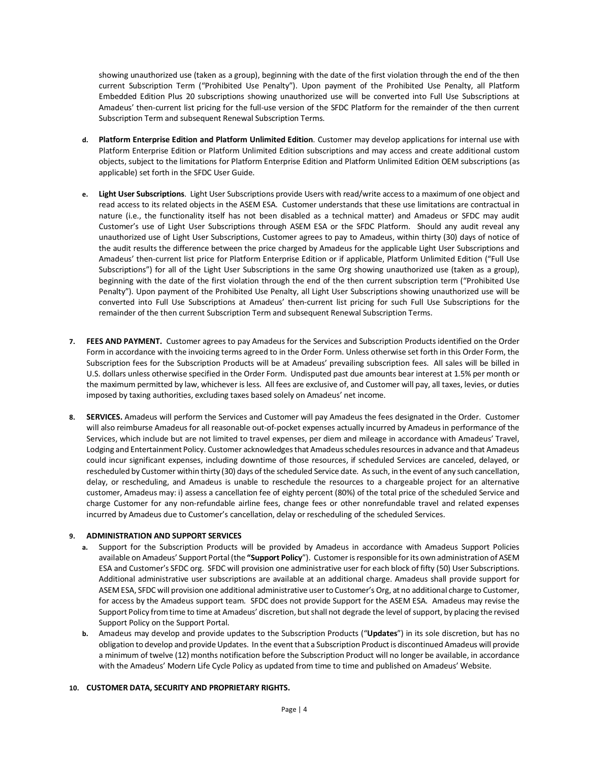showing unauthorized use (taken as a group), beginning with the date of the first violation through the end of the then current Subscription Term ("Prohibited Use Penalty"). Upon payment of the Prohibited Use Penalty, all Platform Embedded Edition Plus 20 subscriptions showing unauthorized use will be converted into Full Use Subscriptions at Amadeus' then-current list pricing for the full-use version of the SFDC Platform for the remainder of the then current Subscription Term and subsequent Renewal Subscription Terms.

- **d. Platform Enterprise Edition and Platform Unlimited Edition**. Customer may develop applications for internal use with Platform Enterprise Edition or Platform Unlimited Edition subscriptions and may access and create additional custom objects, subject to the limitations for Platform Enterprise Edition and Platform Unlimited Edition OEM subscriptions (as applicable) set forth in the SFDC User Guide.
- **e. Light User Subscriptions**. Light User Subscriptions provide Users with read/write access to a maximum of one object and read access to its related objects in the ASEM ESA. Customer understands that these use limitations are contractual in nature (i.e., the functionality itself has not been disabled as a technical matter) and Amadeus or SFDC may audit Customer's use of Light User Subscriptions through ASEM ESA or the SFDC Platform. Should any audit reveal any unauthorized use of Light User Subscriptions, Customer agrees to pay to Amadeus, within thirty (30) days of notice of the audit results the difference between the price charged by Amadeus for the applicable Light User Subscriptions and Amadeus' then-current list price for Platform Enterprise Edition or if applicable, Platform Unlimited Edition ("Full Use Subscriptions") for all of the Light User Subscriptions in the same Org showing unauthorized use (taken as a group), beginning with the date of the first violation through the end of the then current subscription term ("Prohibited Use Penalty"). Upon payment of the Prohibited Use Penalty, all Light User Subscriptions showing unauthorized use will be converted into Full Use Subscriptions at Amadeus' then-current list pricing for such Full Use Subscriptions for the remainder of the then current Subscription Term and subsequent Renewal Subscription Terms.
- **7. FEES AND PAYMENT.** Customer agrees to pay Amadeus for the Services and Subscription Products identified on the Order Form in accordance with the invoicing terms agreed to in the Order Form. Unless otherwise set forth in this Order Form, the Subscription fees for the Subscription Products will be at Amadeus' prevailing subscription fees. All sales will be billed in U.S. dollars unless otherwise specified in the Order Form. Undisputed past due amounts bear interest at 1.5% per month or the maximum permitted by law, whichever is less. All fees are exclusive of, and Customer will pay, all taxes, levies, or duties imposed by taxing authorities, excluding taxes based solely on Amadeus' net income.
- **8. SERVICES.** Amadeus will perform the Services and Customer will pay Amadeus the fees designated in the Order. Customer will also reimburse Amadeus for all reasonable out-of-pocket expenses actually incurred by Amadeus in performance of the Services, which include but are not limited to travel expenses, per diem and mileage in accordance with Amadeus' Travel, Lodging and Entertainment Policy. Customer acknowledges that Amadeus schedules resources in advance and that Amadeus could incur significant expenses, including downtime of those resources, if scheduled Services are canceled, delayed, or rescheduled by Customer within thirty (30) days of the scheduled Service date. As such, in the event of any such cancellation, delay, or rescheduling, and Amadeus is unable to reschedule the resources to a chargeable project for an alternative customer, Amadeus may: i) assess a cancellation fee of eighty percent (80%) of the total price of the scheduled Service and charge Customer for any non-refundable airline fees, change fees or other nonrefundable travel and related expenses incurred by Amadeus due to Customer's cancellation, delay or rescheduling of the scheduled Services.

# **9. ADMINISTRATION AND SUPPORT SERVICES**

- **a.** Support for the Subscription Products will be provided by Amadeus in accordance with Amadeus Support Policies available on Amadeus' Support Portal (the **"Support Policy**"). Customer is responsible for its own administration of ASEM ESA and Customer's SFDC org. SFDC will provision one administrative user for each block of fifty (50) User Subscriptions. Additional administrative user subscriptions are available at an additional charge. Amadeus shall provide support for ASEM ESA, SFDC will provision one additional administrative user to Customer's Org, at no additional charge to Customer, for access by the Amadeus support team. SFDC does not provide Support for the ASEM ESA. Amadeus may revise the Support Policy from time to time at Amadeus' discretion, but shall not degrade the level of support, by placing the revised Support Policy on the Support Portal.
- **b.** Amadeus may develop and provide updates to the Subscription Products ("**Updates**") in its sole discretion, but has no obligation to develop and provide Updates. In the event that a Subscription Product is discontinued Amadeus will provide a minimum of twelve (12) months notification before the Subscription Product will no longer be available, in accordance with the Amadeus' Modern Life Cycle Policy as updated from time to time and published on Amadeus' Website.

# **10. CUSTOMER DATA, SECURITY AND PROPRIETARY RIGHTS.**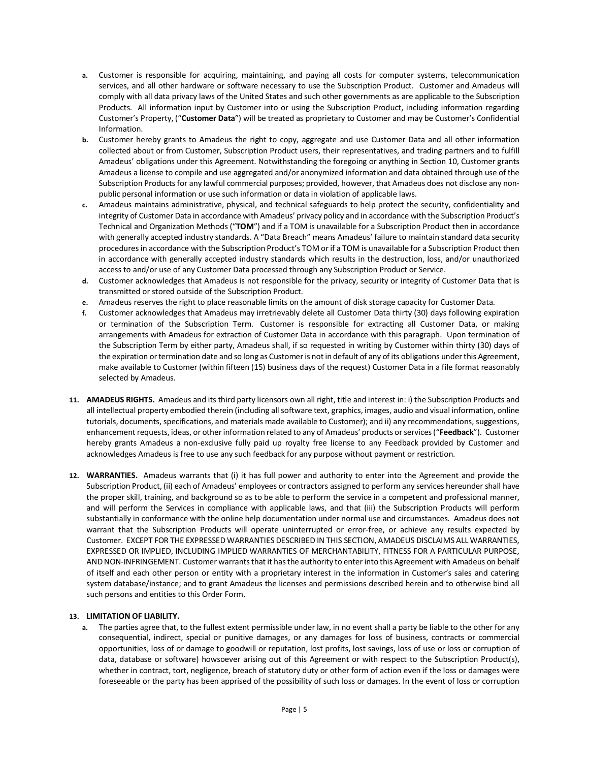- **a.** Customer is responsible for acquiring, maintaining, and paying all costs for computer systems, telecommunication services, and all other hardware or software necessary to use the Subscription Product. Customer and Amadeus will comply with all data privacy laws of the United States and such other governments as are applicable to the Subscription Products. All information input by Customer into or using the Subscription Product, including information regarding Customer's Property, ("**Customer Data**") will be treated as proprietary to Customer and may be Customer's Confidential Information.
- **b.** Customer hereby grants to Amadeus the right to copy, aggregate and use Customer Data and all other information collected about or from Customer, Subscription Product users, their representatives, and trading partners and to fulfill Amadeus' obligations under this Agreement. Notwithstanding the foregoing or anything in Section 10, Customer grants Amadeus a license to compile and use aggregated and/or anonymized information and data obtained through use of the Subscription Products for any lawful commercial purposes; provided, however, that Amadeus does not disclose any nonpublic personal information or use such information or data in violation of applicable laws.
- **c.** Amadeus maintains administrative, physical, and technical safeguards to help protect the security, confidentiality and integrity of Customer Data in accordance with Amadeus' privacy policy and in accordance with the Subscription Product's Technical and Organization Methods ("**TOM**") and if a TOM is unavailable for a Subscription Product then in accordance with generally accepted industry standards. A "Data Breach" means Amadeus' failure to maintain standard data security procedures in accordance with the Subscription Product's TOM or if a TOM is unavailable for a Subscription Product then in accordance with generally accepted industry standards which results in the destruction, loss, and/or unauthorized access to and/or use of any Customer Data processed through any Subscription Product or Service.
- **d.** Customer acknowledges that Amadeus is not responsible for the privacy, security or integrity of Customer Data that is transmitted or stored outside of the Subscription Product.
- **e.** Amadeus reserves the right to place reasonable limits on the amount of disk storage capacity for Customer Data.
- **f.** Customer acknowledges that Amadeus may irretrievably delete all Customer Data thirty (30) days following expiration or termination of the Subscription Term. Customer is responsible for extracting all Customer Data, or making arrangements with Amadeus for extraction of Customer Data in accordance with this paragraph. Upon termination of the Subscription Term by either party, Amadeus shall, if so requested in writing by Customer within thirty (30) days of the expiration or termination date and so long as Customer is not in default of any of its obligations under this Agreement, make available to Customer (within fifteen (15) business days of the request) Customer Data in a file format reasonably selected by Amadeus.
- **11. AMADEUS RIGHTS.** Amadeus and its third party licensors own all right, title and interest in: i) the Subscription Products and all intellectual property embodied therein (including all software text, graphics, images, audio and visual information, online tutorials, documents, specifications, and materials made available to Customer); and ii) any recommendations, suggestions, enhancement requests, ideas, or other information related to any of Amadeus' products or services ("**Feedback**"). Customer hereby grants Amadeus a non-exclusive fully paid up royalty free license to any Feedback provided by Customer and acknowledges Amadeus is free to use any such feedback for any purpose without payment or restriction.
- **12. WARRANTIES.** Amadeus warrants that (i) it has full power and authority to enter into the Agreement and provide the Subscription Product, (ii) each of Amadeus' employees or contractors assigned to perform any services hereunder shall have the proper skill, training, and background so as to be able to perform the service in a competent and professional manner, and will perform the Services in compliance with applicable laws, and that (iii) the Subscription Products will perform substantially in conformance with the online help documentation under normal use and circumstances. Amadeus does not warrant that the Subscription Products will operate uninterrupted or error-free, or achieve any results expected by Customer. EXCEPT FOR THE EXPRESSED WARRANTIES DESCRIBED IN THIS SECTION, AMADEUS DISCLAIMS ALL WARRANTIES, EXPRESSED OR IMPLIED, INCLUDING IMPLIED WARRANTIES OF MERCHANTABILITY, FITNESS FOR A PARTICULAR PURPOSE, AND NON-INFRINGEMENT. Customer warrants that it has the authority to enter into this Agreement with Amadeus on behalf of itself and each other person or entity with a proprietary interest in the information in Customer's sales and catering system database/instance; and to grant Amadeus the licenses and permissions described herein and to otherwise bind all such persons and entities to this Order Form.

# **13. LIMITATION OF LIABILITY.**

**a.** The parties agree that, to the fullest extent permissible under law, in no event shall a party be liable to the other for any consequential, indirect, special or punitive damages, or any damages for loss of business, contracts or commercial opportunities, loss of or damage to goodwill or reputation, lost profits, lost savings, loss of use or loss or corruption of data, database or software) howsoever arising out of this Agreement or with respect to the Subscription Product(s), whether in contract, tort, negligence, breach of statutory duty or other form of action even if the loss or damages were foreseeable or the party has been apprised of the possibility of such loss or damages. In the event of loss or corruption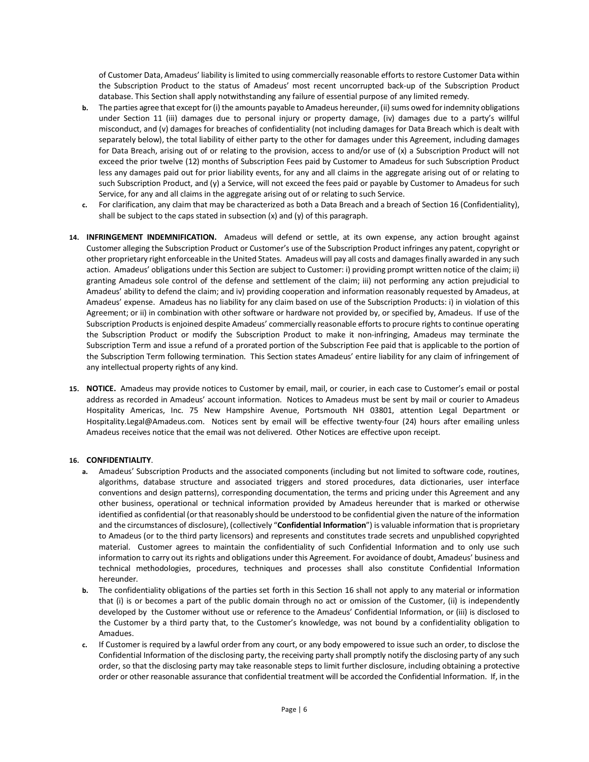of Customer Data, Amadeus' liability is limited to using commercially reasonable efforts to restore Customer Data within the Subscription Product to the status of Amadeus' most recent uncorrupted back-up of the Subscription Product database. This Section shall apply notwithstanding any failure of essential purpose of any limited remedy.

- **b.** The parties agree that except for (i) the amounts payable to Amadeus hereunder, (ii) sums owed for indemnity obligations under Section 11 (iii) damages due to personal injury or property damage, (iv) damages due to a party's willful misconduct, and (v) damages for breaches of confidentiality (not including damages for Data Breach which is dealt with separately below), the total liability of either party to the other for damages under this Agreement, including damages for Data Breach, arising out of or relating to the provision, access to and/or use of (x) a Subscription Product will not exceed the prior twelve (12) months of Subscription Fees paid by Customer to Amadeus for such Subscription Product less any damages paid out for prior liability events, for any and all claims in the aggregate arising out of or relating to such Subscription Product, and (y) a Service, will not exceed the fees paid or payable by Customer to Amadeus for such Service, for any and all claims in the aggregate arising out of or relating to such Service.
- **c.** For clarification, any claim that may be characterized as both a Data Breach and a breach of Section 16 (Confidentiality), shall be subject to the caps stated in subsection (x) and (y) of this paragraph.
- **14. INFRINGEMENT INDEMNIFICATION.** Amadeus will defend or settle, at its own expense, any action brought against Customer alleging the Subscription Product or Customer's use of the Subscription Product infringes any patent, copyright or other proprietary right enforceable in the United States. Amadeus will pay all costs and damages finally awarded in any such action. Amadeus' obligations under this Section are subject to Customer: i) providing prompt written notice of the claim; ii) granting Amadeus sole control of the defense and settlement of the claim; iii) not performing any action prejudicial to Amadeus' ability to defend the claim; and iv) providing cooperation and information reasonably requested by Amadeus, at Amadeus' expense. Amadeus has no liability for any claim based on use of the Subscription Products: i) in violation of this Agreement; or ii) in combination with other software or hardware not provided by, or specified by, Amadeus. If use of the Subscription Products is enjoined despite Amadeus' commercially reasonable efforts to procure rights to continue operating the Subscription Product or modify the Subscription Product to make it non-infringing, Amadeus may terminate the Subscription Term and issue a refund of a prorated portion of the Subscription Fee paid that is applicable to the portion of the Subscription Term following termination. This Section states Amadeus' entire liability for any claim of infringement of any intellectual property rights of any kind.
- **15. NOTICE.** Amadeus may provide notices to Customer by email, mail, or courier, in each case to Customer's email or postal address as recorded in Amadeus' account information. Notices to Amadeus must be sent by mail or courier to Amadeus Hospitality Americas, Inc. 75 New Hampshire Avenue, Portsmouth NH 03801, attention Legal Department or Hospitality.Legal@Amadeus.com. Notices sent by email will be effective twenty-four (24) hours after emailing unless Amadeus receives notice that the email was not delivered. Other Notices are effective upon receipt.

# **16. CONFIDENTIALITY**.

- **a.** Amadeus' Subscription Products and the associated components (including but not limited to software code, routines, algorithms, database structure and associated triggers and stored procedures, data dictionaries, user interface conventions and design patterns), corresponding documentation, the terms and pricing under this Agreement and any other business, operational or technical information provided by Amadeus hereunder that is marked or otherwise identified as confidential (or that reasonably should be understood to be confidential given the nature of the information and the circumstances of disclosure), (collectively "**Confidential Information**") is valuable information that is proprietary to Amadeus (or to the third party licensors) and represents and constitutes trade secrets and unpublished copyrighted material. Customer agrees to maintain the confidentiality of such Confidential Information and to only use such information to carry out its rights and obligations under this Agreement. For avoidance of doubt, Amadeus' business and technical methodologies, procedures, techniques and processes shall also constitute Confidential Information hereunder.
- **b.** The confidentiality obligations of the parties set forth in this Section 16 shall not apply to any material or information that (i) is or becomes a part of the public domain through no act or omission of the Customer, (ii) is independently developed by the Customer without use or reference to the Amadeus' Confidential Information, or (iii) is disclosed to the Customer by a third party that, to the Customer's knowledge, was not bound by a confidentiality obligation to Amadues.
- **c.** If Customer is required by a lawful order from any court, or any body empowered to issue such an order, to disclose the Confidential Information of the disclosing party, the receiving party shall promptly notify the disclosing party of any such order, so that the disclosing party may take reasonable steps to limit further disclosure, including obtaining a protective order or other reasonable assurance that confidential treatment will be accorded the Confidential Information. If, in the